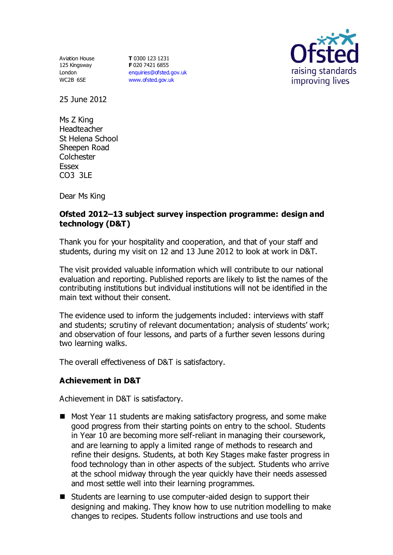Aviation House 125 Kingsway London WC2B 6SE

**T** 0300 123 1231 **F** 020 7421 6855 [enquiries@ofsted.gov.uk](mailto:enquiries@ofsted.gov.uk) [www.ofsted.gov.uk](http://www.ofsted.gov.uk/)



25 June 2012

Ms Z King Headteacher St Helena School Sheepen Road Colchester Essex CO3 3LE

Dear Ms King

### **Ofsted 2012–13 subject survey inspection programme: design and technology (D&T)**

Thank you for your hospitality and cooperation, and that of your staff and students, during my visit on 12 and 13 June 2012 to look at work in D&T.

The visit provided valuable information which will contribute to our national evaluation and reporting. Published reports are likely to list the names of the contributing institutions but individual institutions will not be identified in the main text without their consent.

The evidence used to inform the judgements included: interviews with staff and students; scrutiny of relevant documentation; analysis of students' work; and observation of four lessons, and parts of a further seven lessons during two learning walks.

The overall effectiveness of D&T is satisfactory.

#### **Achievement in D&T**

Achievement in D&T is satisfactory.

- Most Year 11 students are making satisfactory progress, and some make good progress from their starting points on entry to the school. Students in Year 10 are becoming more self-reliant in managing their coursework, and are learning to apply a limited range of methods to research and refine their designs. Students, at both Key Stages make faster progress in food technology than in other aspects of the subject. Students who arrive at the school midway through the year quickly have their needs assessed and most settle well into their learning programmes.
- Students are learning to use computer-aided design to support their designing and making. They know how to use nutrition modelling to make changes to recipes. Students follow instructions and use tools and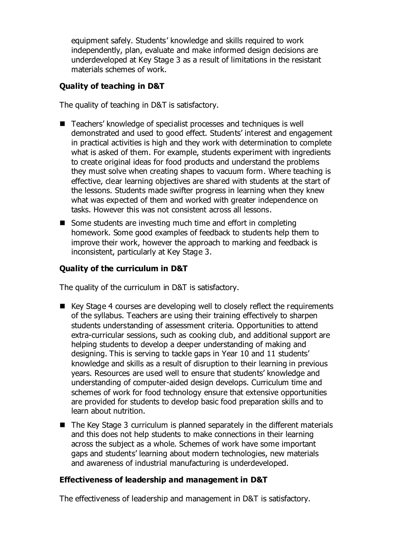equipment safely. Students' knowledge and skills required to work independently, plan, evaluate and make informed design decisions are underdeveloped at Key Stage 3 as a result of limitations in the resistant materials schemes of work.

# **Quality of teaching in D&T**

The quality of teaching in D&T is satisfactory.

- Teachers' knowledge of specialist processes and techniques is well demonstrated and used to good effect. Students' interest and engagement in practical activities is high and they work with determination to complete what is asked of them. For example, students experiment with ingredients to create original ideas for food products and understand the problems they must solve when creating shapes to vacuum form. Where teaching is effective, clear learning objectives are shared with students at the start of the lessons. Students made swifter progress in learning when they knew what was expected of them and worked with greater independence on tasks. However this was not consistent across all lessons.
- Some students are investing much time and effort in completing homework. Some good examples of feedback to students help them to improve their work, however the approach to marking and feedback is inconsistent, particularly at Key Stage 3.

# **Quality of the curriculum in D&T**

The quality of the curriculum in D&T is satisfactory.

- Key Stage 4 courses are developing well to closely reflect the requirements of the syllabus. Teachers are using their training effectively to sharpen students understanding of assessment criteria. Opportunities to attend extra-curricular sessions, such as cooking club, and additional support are helping students to develop a deeper understanding of making and designing. This is serving to tackle gaps in Year 10 and 11 students' knowledge and skills as a result of disruption to their learning in previous years. Resources are used well to ensure that students' knowledge and understanding of computer-aided design develops. Curriculum time and schemes of work for food technology ensure that extensive opportunities are provided for students to develop basic food preparation skills and to learn about nutrition.
- The Key Stage 3 curriculum is planned separately in the different materials and this does not help students to make connections in their learning across the subject as a whole. Schemes of work have some important gaps and students' learning about modern technologies, new materials and awareness of industrial manufacturing is underdeveloped.

#### **Effectiveness of leadership and management in D&T**

The effectiveness of leadership and management in D&T is satisfactory.